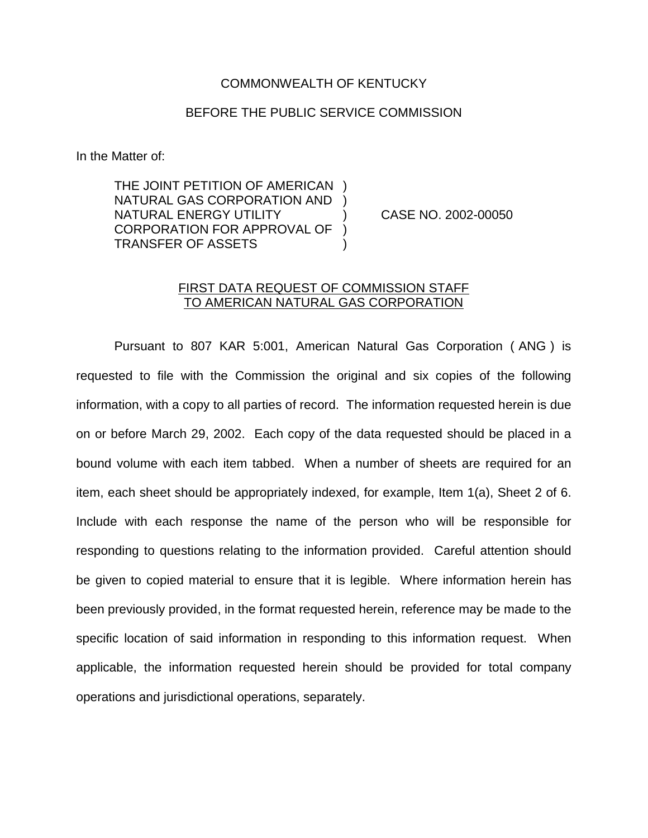## COMMONWEALTH OF KENTUCKY

## BEFORE THE PUBLIC SERVICE COMMISSION

In the Matter of:

THE JOINT PETITION OF AMERICAN NATURAL GAS CORPORATION AND ) NATURAL ENERGY UTILITY ) CASE NO. 2002-00050 CORPORATION FOR APPROVAL OF ) TRANSFER OF ASSETS )

## FIRST DATA REQUEST OF COMMISSION STAFF TO AMERICAN NATURAL GAS CORPORATION

Pursuant to 807 KAR 5:001, American Natural Gas Corporation ( ANG ) is requested to file with the Commission the original and six copies of the following information, with a copy to all parties of record. The information requested herein is due on or before March 29, 2002. Each copy of the data requested should be placed in a bound volume with each item tabbed. When a number of sheets are required for an item, each sheet should be appropriately indexed, for example, Item 1(a), Sheet 2 of 6. Include with each response the name of the person who will be responsible for responding to questions relating to the information provided. Careful attention should be given to copied material to ensure that it is legible. Where information herein has been previously provided, in the format requested herein, reference may be made to the specific location of said information in responding to this information request. When applicable, the information requested herein should be provided for total company operations and jurisdictional operations, separately.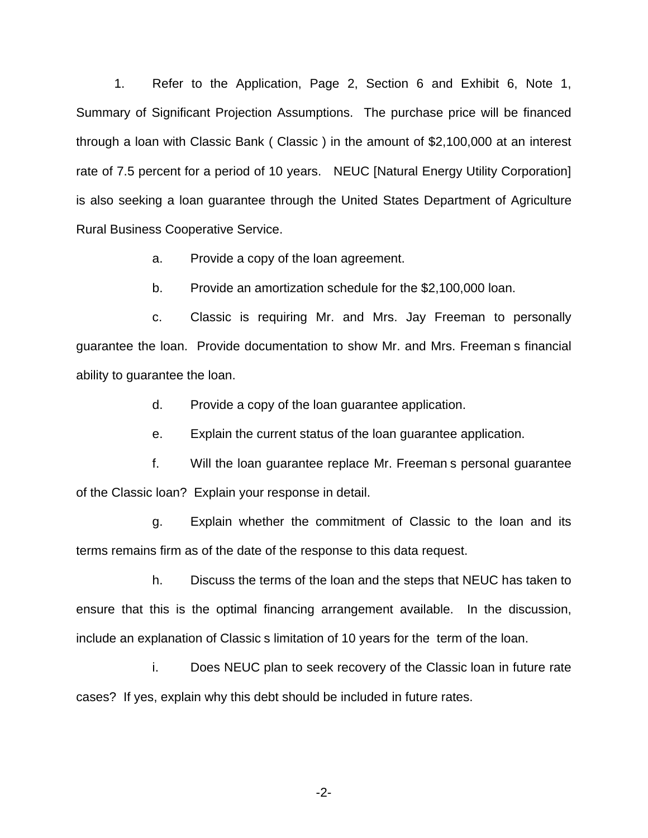1. Refer to the Application, Page 2, Section 6 and Exhibit 6, Note 1, Summary of Significant Projection Assumptions. The purchase price will be financed through a loan with Classic Bank ( Classic ) in the amount of \$2,100,000 at an interest rate of 7.5 percent for a period of 10 years. NEUC [Natural Energy Utility Corporation] is also seeking a loan guarantee through the United States Department of Agriculture Rural Business Cooperative Service.

a. Provide a copy of the loan agreement.

b. Provide an amortization schedule for the \$2,100,000 loan.

c. Classic is requiring Mr. and Mrs. Jay Freeman to personally guarantee the loan. Provide documentation to show Mr. and Mrs. Freeman s financial ability to guarantee the loan.

d. Provide a copy of the loan guarantee application.

e. Explain the current status of the loan guarantee application.

f. Will the loan guarantee replace Mr. Freeman s personal guarantee of the Classic loan? Explain your response in detail.

g. Explain whether the commitment of Classic to the loan and its terms remains firm as of the date of the response to this data request.

h. Discuss the terms of the loan and the steps that NEUC has taken to ensure that this is the optimal financing arrangement available. In the discussion, include an explanation of Classic s limitation of 10 years for the term of the loan.

i. Does NEUC plan to seek recovery of the Classic loan in future rate cases? If yes, explain why this debt should be included in future rates.

-2-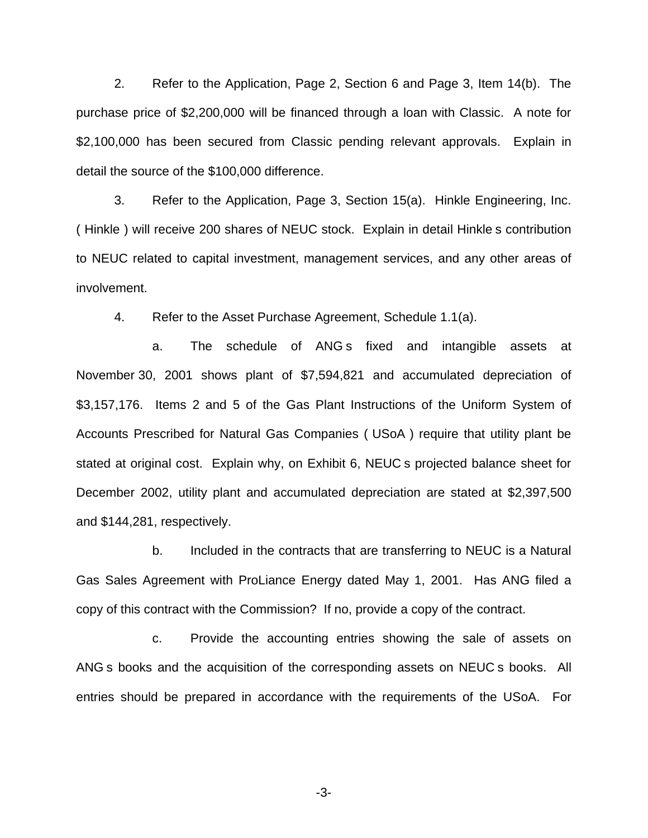2. Refer to the Application, Page 2, Section 6 and Page 3, Item 14(b). The purchase price of \$2,200,000 will be financed through a loan with Classic. A note for \$2,100,000 has been secured from Classic pending relevant approvals. Explain in detail the source of the \$100,000 difference.

3. Refer to the Application, Page 3, Section 15(a). Hinkle Engineering, Inc. ( Hinkle ) will receive 200 shares of NEUC stock. Explain in detail Hinkle s contribution to NEUC related to capital investment, management services, and any other areas of involvement.

4. Refer to the Asset Purchase Agreement, Schedule 1.1(a).

a. The schedule of ANG s fixed and intangible assets at November 30, 2001 shows plant of \$7,594,821 and accumulated depreciation of \$3,157,176. Items 2 and 5 of the Gas Plant Instructions of the Uniform System of Accounts Prescribed for Natural Gas Companies ( USoA ) require that utility plant be stated at original cost. Explain why, on Exhibit 6, NEUC s projected balance sheet for December 2002, utility plant and accumulated depreciation are stated at \$2,397,500 and \$144,281, respectively.

b. Included in the contracts that are transferring to NEUC is a Natural Gas Sales Agreement with ProLiance Energy dated May 1, 2001. Has ANG filed a copy of this contract with the Commission? If no, provide a copy of the contract.

c. Provide the accounting entries showing the sale of assets on ANG s books and the acquisition of the corresponding assets on NEUC s books. All entries should be prepared in accordance with the requirements of the USoA. For

-3-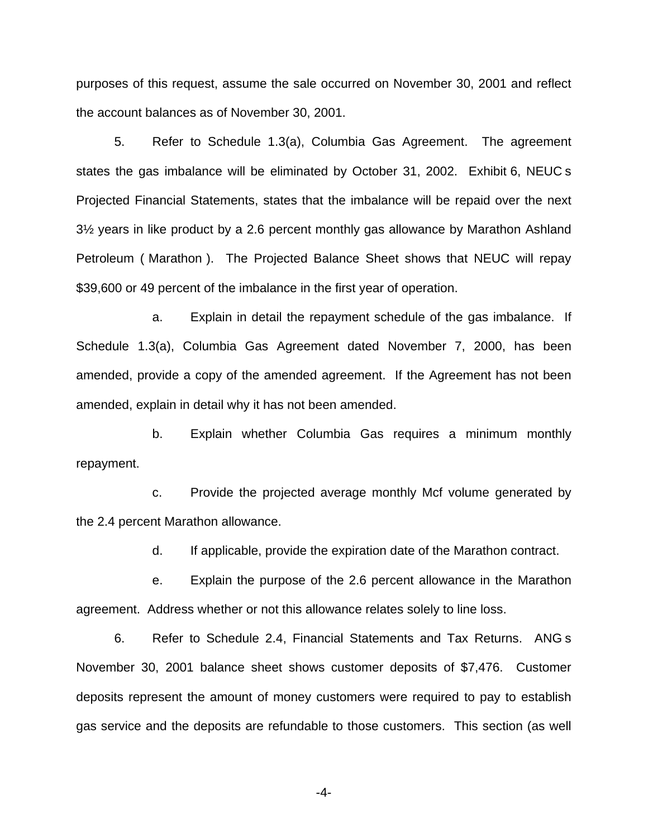purposes of this request, assume the sale occurred on November 30, 2001 and reflect the account balances as of November 30, 2001.

5. Refer to Schedule 1.3(a), Columbia Gas Agreement. The agreement states the gas imbalance will be eliminated by October 31, 2002. Exhibit 6, NEUC s Projected Financial Statements, states that the imbalance will be repaid over the next 3½ years in like product by a 2.6 percent monthly gas allowance by Marathon Ashland Petroleum ( Marathon ). The Projected Balance Sheet shows that NEUC will repay \$39,600 or 49 percent of the imbalance in the first year of operation.

a. Explain in detail the repayment schedule of the gas imbalance. If Schedule 1.3(a), Columbia Gas Agreement dated November 7, 2000, has been amended, provide a copy of the amended agreement. If the Agreement has not been amended, explain in detail why it has not been amended.

b. Explain whether Columbia Gas requires a minimum monthly repayment.

c. Provide the projected average monthly Mcf volume generated by the 2.4 percent Marathon allowance.

d. If applicable, provide the expiration date of the Marathon contract.

e. Explain the purpose of the 2.6 percent allowance in the Marathon agreement. Address whether or not this allowance relates solely to line loss.

6. Refer to Schedule 2.4, Financial Statements and Tax Returns. ANG s November 30, 2001 balance sheet shows customer deposits of \$7,476. Customer deposits represent the amount of money customers were required to pay to establish gas service and the deposits are refundable to those customers. This section (as well

-4-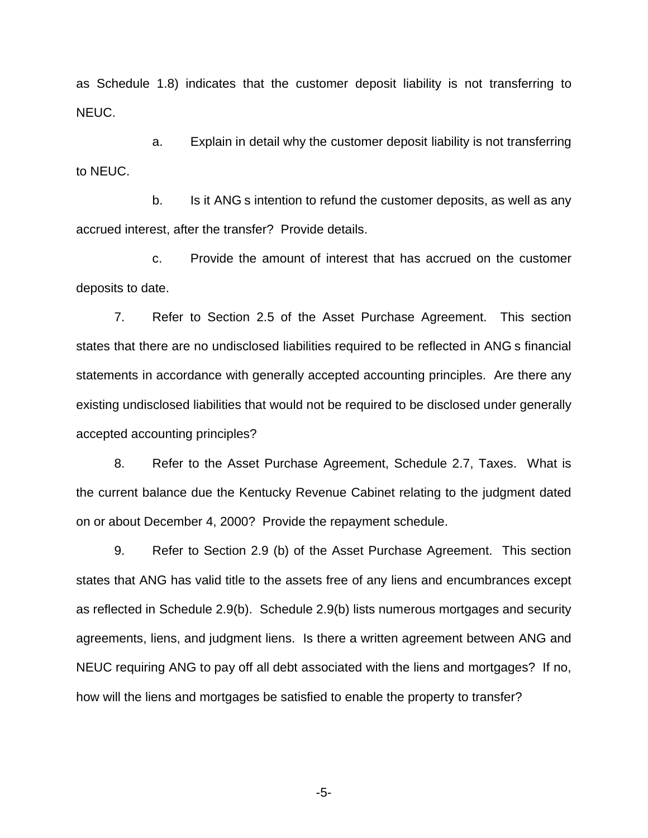as Schedule 1.8) indicates that the customer deposit liability is not transferring to NEUC.

a. Explain in detail why the customer deposit liability is not transferring to NEUC.

b. Is it ANG s intention to refund the customer deposits, as well as any accrued interest, after the transfer? Provide details.

c. Provide the amount of interest that has accrued on the customer deposits to date.

7. Refer to Section 2.5 of the Asset Purchase Agreement. This section states that there are no undisclosed liabilities required to be reflected in ANG s financial statements in accordance with generally accepted accounting principles. Are there any existing undisclosed liabilities that would not be required to be disclosed under generally accepted accounting principles?

8. Refer to the Asset Purchase Agreement, Schedule 2.7, Taxes. What is the current balance due the Kentucky Revenue Cabinet relating to the judgment dated on or about December 4, 2000? Provide the repayment schedule.

9. Refer to Section 2.9 (b) of the Asset Purchase Agreement. This section states that ANG has valid title to the assets free of any liens and encumbrances except as reflected in Schedule 2.9(b). Schedule 2.9(b) lists numerous mortgages and security agreements, liens, and judgment liens. Is there a written agreement between ANG and NEUC requiring ANG to pay off all debt associated with the liens and mortgages? If no, how will the liens and mortgages be satisfied to enable the property to transfer?

-5-